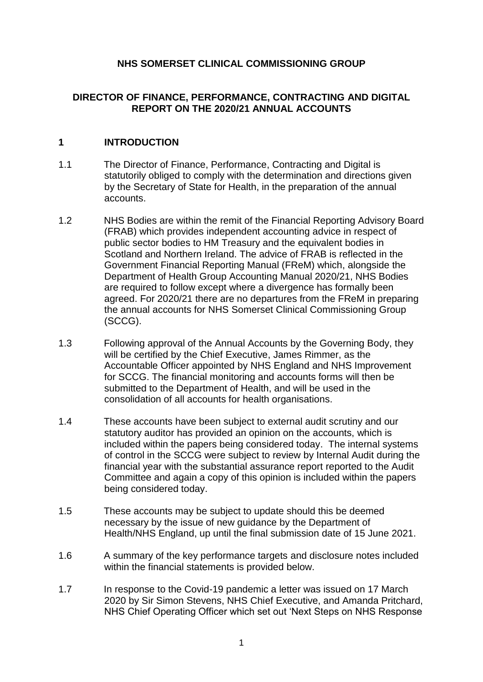# **NHS SOMERSET CLINICAL COMMISSIONING GROUP**

### **DIRECTOR OF FINANCE, PERFORMANCE, CONTRACTING AND DIGITAL REPORT ON THE 2020/21 ANNUAL ACCOUNTS**

### **1 INTRODUCTION**

- 1.1 The Director of Finance, Performance, Contracting and Digital is statutorily obliged to comply with the determination and directions given by the Secretary of State for Health, in the preparation of the annual accounts.
- 1.2 NHS Bodies are within the remit of the Financial Reporting Advisory Board (FRAB) which provides independent accounting advice in respect of public sector bodies to HM Treasury and the equivalent bodies in Scotland and Northern Ireland. The advice of FRAB is reflected in the Government Financial Reporting Manual (FReM) which, alongside the Department of Health Group Accounting Manual 2020/21, NHS Bodies are required to follow except where a divergence has formally been agreed. For 2020/21 there are no departures from the FReM in preparing the annual accounts for NHS Somerset Clinical Commissioning Group (SCCG).
- 1.3 Following approval of the Annual Accounts by the Governing Body, they will be certified by the Chief Executive, James Rimmer, as the Accountable Officer appointed by NHS England and NHS Improvement for SCCG. The financial monitoring and accounts forms will then be submitted to the Department of Health, and will be used in the consolidation of all accounts for health organisations.
- 1.4 These accounts have been subject to external audit scrutiny and our statutory auditor has provided an opinion on the accounts, which is included within the papers being considered today. The internal systems of control in the SCCG were subject to review by Internal Audit during the financial year with the substantial assurance report reported to the Audit Committee and again a copy of this opinion is included within the papers being considered today.
- 1.5 These accounts may be subject to update should this be deemed necessary by the issue of new guidance by the Department of Health/NHS England, up until the final submission date of 15 June 2021.
- 1.6 A summary of the key performance targets and disclosure notes included within the financial statements is provided below.
- 1.7 In response to the Covid-19 pandemic a letter was issued on 17 March 2020 by Sir Simon Stevens, NHS Chief Executive, and Amanda Pritchard, NHS Chief Operating Officer which set out 'Next Steps on NHS Response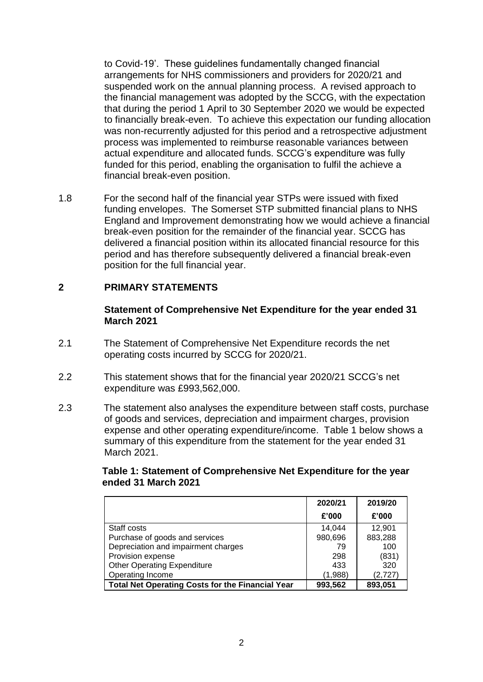to Covid-19'. These guidelines fundamentally changed financial arrangements for NHS commissioners and providers for 2020/21 and suspended work on the annual planning process. A revised approach to the financial management was adopted by the SCCG, with the expectation that during the period 1 April to 30 September 2020 we would be expected to financially break-even. To achieve this expectation our funding allocation was non-recurrently adjusted for this period and a retrospective adjustment process was implemented to reimburse reasonable variances between actual expenditure and allocated funds. SCCG's expenditure was fully funded for this period, enabling the organisation to fulfil the achieve a financial break-even position.

1.8 For the second half of the financial year STPs were issued with fixed funding envelopes. The Somerset STP submitted financial plans to NHS England and Improvement demonstrating how we would achieve a financial break-even position for the remainder of the financial year. SCCG has delivered a financial position within its allocated financial resource for this period and has therefore subsequently delivered a financial break-even position for the full financial year.

### **2 PRIMARY STATEMENTS**

#### **Statement of Comprehensive Net Expenditure for the year ended 31 March 2021**

- 2.1 The Statement of Comprehensive Net Expenditure records the net operating costs incurred by SCCG for 2020/21.
- 2.2 This statement shows that for the financial year 2020/21 SCCG's net expenditure was £993,562,000.
- 2.3 The statement also analyses the expenditure between staff costs, purchase of goods and services, depreciation and impairment charges, provision expense and other operating expenditure/income. Table 1 below shows a summary of this expenditure from the statement for the year ended 31 March 2021.

### **Table 1: Statement of Comprehensive Net Expenditure for the year ended 31 March 2021**

|                                                         | 2020/21 | 2019/20 |
|---------------------------------------------------------|---------|---------|
|                                                         | £'000   | £'000   |
| Staff costs                                             | 14.044  | 12,901  |
| Purchase of goods and services                          | 980,696 | 883,288 |
| Depreciation and impairment charges                     | 79      | 100     |
| Provision expense                                       | 298     | (831)   |
| <b>Other Operating Expenditure</b>                      | 433     | 320     |
| Operating Income                                        | (1,988) | (2,727) |
| <b>Total Net Operating Costs for the Financial Year</b> | 993,562 | 893,051 |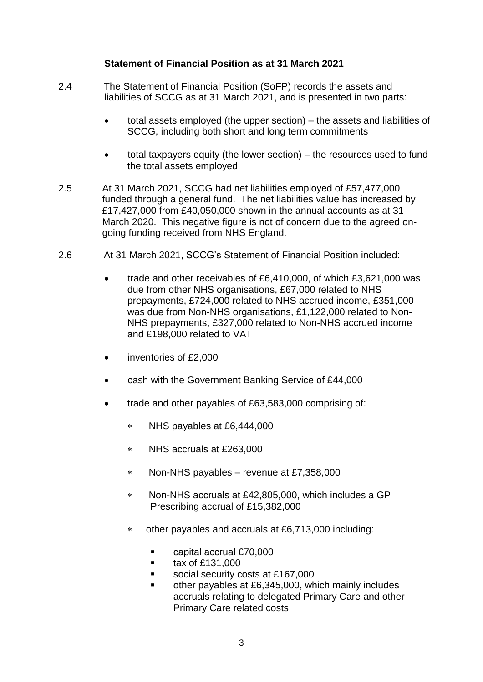### **Statement of Financial Position as at 31 March 2021**

- 2.4 The Statement of Financial Position (SoFP) records the assets and liabilities of SCCG as at 31 March 2021, and is presented in two parts:
	- total assets employed (the upper section) the assets and liabilities of SCCG, including both short and long term commitments
	- total taxpayers equity (the lower section) the resources used to fund the total assets employed
- 2.5 At 31 March 2021, SCCG had net liabilities employed of £57,477,000 funded through a general fund. The net liabilities value has increased by £17,427,000 from £40,050,000 shown in the annual accounts as at 31 March 2020. This negative figure is not of concern due to the agreed ongoing funding received from NHS England.
- 2.6 At 31 March 2021, SCCG's Statement of Financial Position included:
	- trade and other receivables of £6,410,000, of which £3,621,000 was due from other NHS organisations, £67,000 related to NHS prepayments, £724,000 related to NHS accrued income, £351,000 was due from Non-NHS organisations, £1,122,000 related to Non-NHS prepayments, £327,000 related to Non-NHS accrued income and £198,000 related to VAT
	- inventories of £2,000
	- cash with the Government Banking Service of £44,000
	- trade and other payables of £63,583,000 comprising of:
		- NHS payables at £6,444,000
		- NHS accruals at £263,000
		- Non-NHS payables revenue at £7,358,000
		- Non-NHS accruals at £42,805,000, which includes a GP Prescribing accrual of £15,382,000
		- other payables and accruals at £6,713,000 including:
			- capital accrual £70,000
			- $\blacksquare$  tax of £131,000
			- social security costs at £167,000
			- other payables at £6,345,000, which mainly includes accruals relating to delegated Primary Care and other Primary Care related costs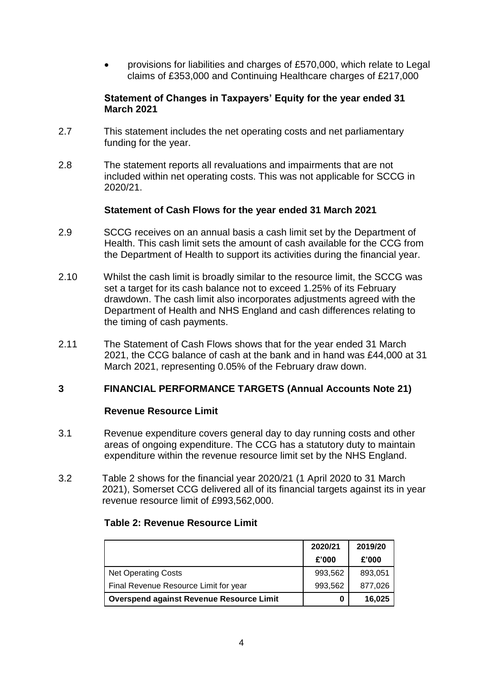provisions for liabilities and charges of £570,000, which relate to Legal claims of £353,000 and Continuing Healthcare charges of £217,000

### **Statement of Changes in Taxpayers' Equity for the year ended 31 March 2021**

- 2.7 This statement includes the net operating costs and net parliamentary funding for the year.
- 2.8 The statement reports all revaluations and impairments that are not included within net operating costs. This was not applicable for SCCG in 2020/21.

#### **Statement of Cash Flows for the year ended 31 March 2021**

- 2.9 SCCG receives on an annual basis a cash limit set by the Department of Health. This cash limit sets the amount of cash available for the CCG from the Department of Health to support its activities during the financial year.
- 2.10 Whilst the cash limit is broadly similar to the resource limit, the SCCG was set a target for its cash balance not to exceed 1.25% of its February drawdown. The cash limit also incorporates adjustments agreed with the Department of Health and NHS England and cash differences relating to the timing of cash payments.
- 2.11 The Statement of Cash Flows shows that for the year ended 31 March 2021, the CCG balance of cash at the bank and in hand was £44,000 at 31 March 2021, representing 0.05% of the February draw down.

# **3 FINANCIAL PERFORMANCE TARGETS (Annual Accounts Note 21)**

#### **Revenue Resource Limit**

- 3.1 Revenue expenditure covers general day to day running costs and other areas of ongoing expenditure. The CCG has a statutory duty to maintain expenditure within the revenue resource limit set by the NHS England.
- 3.2 Table 2 shows for the financial year 2020/21 (1 April 2020 to 31 March 2021), Somerset CCG delivered all of its financial targets against its in year revenue resource limit of £993,562,000.

#### **Table 2: Revenue Resource Limit**

|                                                 | 2020/21 | 2019/20 |  |
|-------------------------------------------------|---------|---------|--|
|                                                 | £'000   | £'000   |  |
| <b>Net Operating Costs</b>                      | 993,562 | 893,051 |  |
| Final Revenue Resource Limit for year           | 993,562 | 877.026 |  |
| <b>Overspend against Revenue Resource Limit</b> | 0       | 16,025  |  |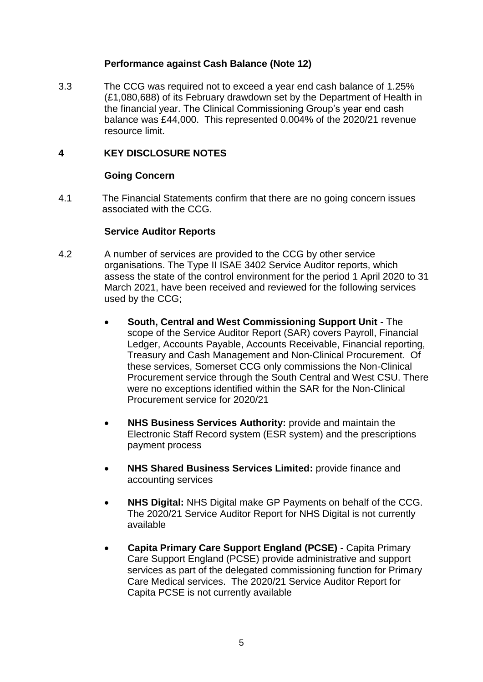### **Performance against Cash Balance (Note 12)**

3.3 The CCG was required not to exceed a year end cash balance of 1.25% (£1,080,688) of its February drawdown set by the Department of Health in the financial year. The Clinical Commissioning Group's year end cash balance was £44,000. This represented 0.004% of the 2020/21 revenue resource limit.

### **4 KEY DISCLOSURE NOTES**

#### **Going Concern**

4.1 The Financial Statements confirm that there are no going concern issues associated with the CCG.

#### **Service Auditor Reports**

- 4.2 A number of services are provided to the CCG by other service organisations. The Type II ISAE 3402 Service Auditor reports, which assess the state of the control environment for the period 1 April 2020 to 31 March 2021, have been received and reviewed for the following services used by the CCG;
	- **South, Central and West Commissioning Support Unit -** The scope of the Service Auditor Report (SAR) covers Payroll, Financial Ledger, Accounts Payable, Accounts Receivable, Financial reporting, Treasury and Cash Management and Non-Clinical Procurement. Of these services, Somerset CCG only commissions the Non-Clinical Procurement service through the South Central and West CSU. There were no exceptions identified within the SAR for the Non-Clinical Procurement service for 2020/21
	- **NHS Business Services Authority:** provide and maintain the Electronic Staff Record system (ESR system) and the prescriptions payment process
	- **NHS Shared Business Services Limited:** provide finance and accounting services
	- **NHS Digital:** NHS Digital make GP Payments on behalf of the CCG. The 2020/21 Service Auditor Report for NHS Digital is not currently available
	- **Capita Primary Care Support England (PCSE) -** Capita Primary Care Support England (PCSE) provide administrative and support services as part of the delegated commissioning function for Primary Care Medical services. The 2020/21 Service Auditor Report for Capita PCSE is not currently available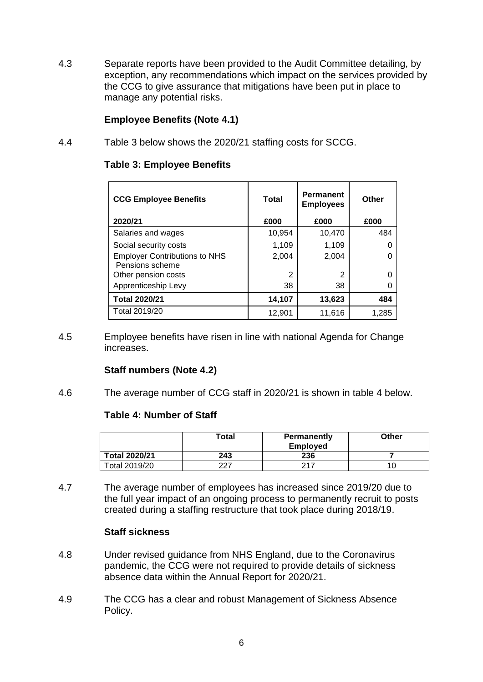4.3 Separate reports have been provided to the Audit Committee detailing, by exception, any recommendations which impact on the services provided by the CCG to give assurance that mitigations have been put in place to manage any potential risks.

# **Employee Benefits (Note 4.1)**

4.4 Table 3 below shows the 2020/21 staffing costs for SCCG.

### **Table 3: Employee Benefits**

| <b>CCG Employee Benefits</b>                            | Total  | <b>Permanent</b><br><b>Employees</b> | Other |
|---------------------------------------------------------|--------|--------------------------------------|-------|
| 2020/21                                                 | £000   | £000                                 | £000  |
| Salaries and wages                                      | 10,954 | 10,470                               | 484   |
| Social security costs                                   | 1,109  | 1,109                                |       |
| <b>Employer Contributions to NHS</b><br>Pensions scheme | 2,004  | 2,004                                |       |
| Other pension costs                                     | 2      | 2                                    |       |
| Apprenticeship Levy                                     | 38     | 38                                   |       |
| <b>Total 2020/21</b>                                    | 14,107 | 13,623                               | 484   |
| Total 2019/20                                           | 12,901 | 11,616                               | 1,285 |

4.5 Employee benefits have risen in line with national Agenda for Change increases.

# **Staff numbers (Note 4.2)**

4.6 The average number of CCG staff in 2020/21 is shown in table 4 below.

#### **Table 4: Number of Staff**

|                      | Total | <b>Permanently</b><br><b>Employed</b> | Other |
|----------------------|-------|---------------------------------------|-------|
| <b>Total 2020/21</b> | 243   | 236                                   |       |
| Total 2019/20        | 227   | 217                                   |       |

4.7 The average number of employees has increased since 2019/20 due to the full year impact of an ongoing process to permanently recruit to posts created during a staffing restructure that took place during 2018/19.

#### **Staff sickness**

- 4.8 Under revised guidance from NHS England, due to the Coronavirus pandemic, the CCG were not required to provide details of sickness absence data within the Annual Report for 2020/21.
- 4.9 The CCG has a clear and robust Management of Sickness Absence Policy.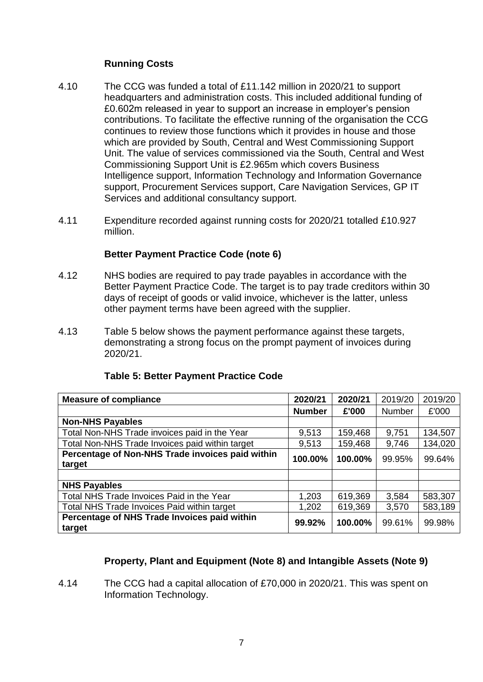# **Running Costs**

- 4.10 The CCG was funded a total of £11.142 million in 2020/21 to support headquarters and administration costs. This included additional funding of £0.602m released in year to support an increase in employer's pension contributions. To facilitate the effective running of the organisation the CCG continues to review those functions which it provides in house and those which are provided by South, Central and West Commissioning Support Unit. The value of services commissioned via the South, Central and West Commissioning Support Unit is £2.965m which covers Business Intelligence support, Information Technology and Information Governance support, Procurement Services support, Care Navigation Services, GP IT Services and additional consultancy support.
- 4.11 Expenditure recorded against running costs for 2020/21 totalled £10.927 million.

### **Better Payment Practice Code (note 6)**

- 4.12 NHS bodies are required to pay trade payables in accordance with the Better Payment Practice Code. The target is to pay trade creditors within 30 days of receipt of goods or valid invoice, whichever is the latter, unless other payment terms have been agreed with the supplier.
- 4.13 Table 5 below shows the payment performance against these targets, demonstrating a strong focus on the prompt payment of invoices during 2020/21.

| <b>Measure of compliance</b>                               | 2020/21       | 2020/21 | 2019/20       | 2019/20 |
|------------------------------------------------------------|---------------|---------|---------------|---------|
|                                                            | <b>Number</b> | £'000   | <b>Number</b> | £'000   |
| <b>Non-NHS Payables</b>                                    |               |         |               |         |
| Total Non-NHS Trade invoices paid in the Year              | 9,513         | 159,468 | 9,751         | 134,507 |
| Total Non-NHS Trade Invoices paid within target            | 9,513         | 159,468 | 9,746         | 134,020 |
| Percentage of Non-NHS Trade invoices paid within<br>target | 100.00%       | 100.00% | 99.95%        | 99.64%  |
|                                                            |               |         |               |         |
| <b>NHS Payables</b>                                        |               |         |               |         |
| Total NHS Trade Invoices Paid in the Year                  | 1,203         | 619,369 | 3,584         | 583,307 |
| Total NHS Trade Invoices Paid within target                | 1,202         | 619,369 | 3,570         | 583,189 |
| Percentage of NHS Trade Invoices paid within<br>target     | 99.92%        | 100.00% | 99.61%        | 99.98%  |

#### **Table 5: Better Payment Practice Code**

# **Property, Plant and Equipment (Note 8) and Intangible Assets (Note 9)**

4.14 The CCG had a capital allocation of £70,000 in 2020/21. This was spent on Information Technology.